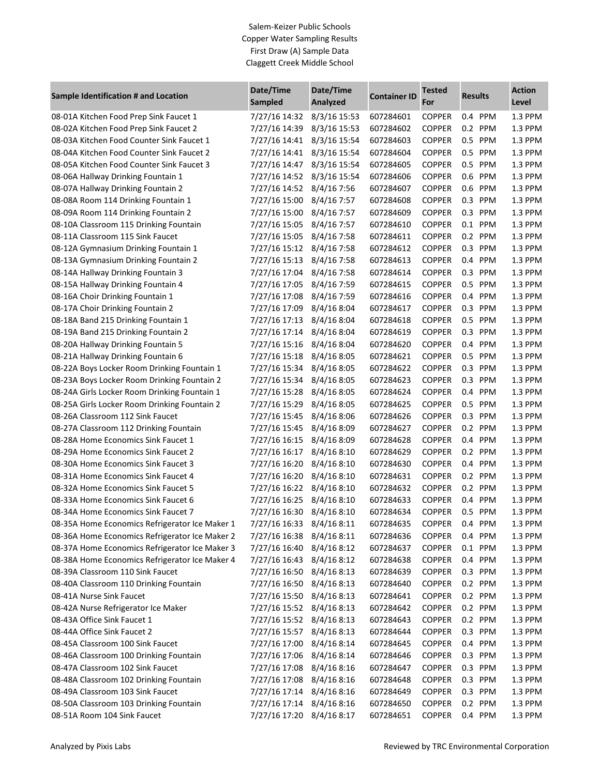| Sample Identification # and Location           | Date/Time<br>Sampled      | Date/Time<br>Analyzed | <b>Container ID</b> | <b>Tested</b><br>For | <b>Results</b>    | <b>Action</b><br>Level |
|------------------------------------------------|---------------------------|-----------------------|---------------------|----------------------|-------------------|------------------------|
| 08-01A Kitchen Food Prep Sink Faucet 1         | 7/27/16 14:32             | 8/3/16 15:53          | 607284601           | <b>COPPER</b>        | 0.4 PPM           | 1.3 PPM                |
| 08-02A Kitchen Food Prep Sink Faucet 2         | 7/27/16 14:39             | 8/3/16 15:53          | 607284602           | <b>COPPER</b>        | 0.2 PPM           | 1.3 PPM                |
| 08-03A Kitchen Food Counter Sink Faucet 1      | 7/27/16 14:41             | 8/3/16 15:54          | 607284603           | <b>COPPER</b>        | 0.5 PPM           | 1.3 PPM                |
| 08-04A Kitchen Food Counter Sink Faucet 2      | 7/27/16 14:41             | 8/3/16 15:54          | 607284604           | <b>COPPER</b>        | 0.5 PPM           | 1.3 PPM                |
| 08-05A Kitchen Food Counter Sink Faucet 3      | 7/27/16 14:47             | 8/3/16 15:54          | 607284605           | <b>COPPER</b>        | 0.5 PPM           | 1.3 PPM                |
| 08-06A Hallway Drinking Fountain 1             | 7/27/16 14:52             | 8/3/16 15:54          | 607284606           | <b>COPPER</b>        | 0.6 PPM           | 1.3 PPM                |
| 08-07A Hallway Drinking Fountain 2             | 7/27/16 14:52             | 8/4/16 7:56           | 607284607           | <b>COPPER</b>        | 0.6 PPM           | 1.3 PPM                |
| 08-08A Room 114 Drinking Fountain 1            | 7/27/16 15:00             | 8/4/167:57            | 607284608           | <b>COPPER</b>        | 0.3 PPM           | 1.3 PPM                |
| 08-09A Room 114 Drinking Fountain 2            | 7/27/16 15:00             | 8/4/167:57            | 607284609           | <b>COPPER</b>        | 0.3 PPM           | 1.3 PPM                |
| 08-10A Classroom 115 Drinking Fountain         | 7/27/16 15:05             | 8/4/167:57            | 607284610           | <b>COPPER</b>        | 0.1 PPM           | 1.3 PPM                |
| 08-11A Classroom 115 Sink Faucet               | 7/27/16 15:05             | 8/4/16 7:58           | 607284611           | <b>COPPER</b>        | 0.2 PPM           | 1.3 PPM                |
| 08-12A Gymnasium Drinking Fountain 1           | 7/27/16 15:12             | 8/4/167:58            | 607284612           | <b>COPPER</b>        | 0.3 PPM           | 1.3 PPM                |
| 08-13A Gymnasium Drinking Fountain 2           | 7/27/16 15:13             | 8/4/16 7:58           | 607284613           | <b>COPPER</b>        | 0.4 PPM           | 1.3 PPM                |
| 08-14A Hallway Drinking Fountain 3             | 7/27/16 17:04             | 8/4/167:58            | 607284614           | <b>COPPER</b>        | 0.3 PPM           | 1.3 PPM                |
| 08-15A Hallway Drinking Fountain 4             | 7/27/16 17:05             | 8/4/16 7:59           | 607284615           | <b>COPPER</b>        | 0.5 PPM           | 1.3 PPM                |
| 08-16A Choir Drinking Fountain 1               | 7/27/16 17:08             | 8/4/16 7:59           | 607284616           | <b>COPPER</b>        | 0.4 PPM           | 1.3 PPM                |
| 08-17A Choir Drinking Fountain 2               | 7/27/16 17:09             | 8/4/168:04            | 607284617           | <b>COPPER</b>        | 0.3 PPM           | 1.3 PPM                |
| 08-18A Band 215 Drinking Fountain 1            | 7/27/16 17:13             | 8/4/168:04            | 607284618           | <b>COPPER</b>        | 0.5<br>PPM        | 1.3 PPM                |
| 08-19A Band 215 Drinking Fountain 2            | 7/27/16 17:14             | 8/4/168:04            | 607284619           | <b>COPPER</b>        | 0.3<br>PPM        | 1.3 PPM                |
| 08-20A Hallway Drinking Fountain 5             | 7/27/16 15:16             | 8/4/168:04            | 607284620           | <b>COPPER</b>        | <b>PPM</b><br>0.4 | 1.3 PPM                |
| 08-21A Hallway Drinking Fountain 6             | 7/27/16 15:18             | 8/4/16 8:05           | 607284621           | <b>COPPER</b>        | 0.5<br><b>PPM</b> | 1.3 PPM                |
| 08-22A Boys Locker Room Drinking Fountain 1    | 7/27/16 15:34             | 8/4/16 8:05           | 607284622           | <b>COPPER</b>        | 0.3 PPM           | 1.3 PPM                |
| 08-23A Boys Locker Room Drinking Fountain 2    | 7/27/16 15:34             | 8/4/16 8:05           | 607284623           | <b>COPPER</b>        | 0.3 PPM           | 1.3 PPM                |
| 08-24A Girls Locker Room Drinking Fountain 1   | 7/27/16 15:28             | 8/4/16 8:05           | 607284624           | <b>COPPER</b>        | 0.4 PPM           | 1.3 PPM                |
| 08-25A Girls Locker Room Drinking Fountain 2   | 7/27/16 15:29             | 8/4/16 8:05           | 607284625           | <b>COPPER</b>        | 0.5 PPM           | 1.3 PPM                |
| 08-26A Classroom 112 Sink Faucet               | 7/27/16 15:45             | 8/4/168:06            | 607284626           | <b>COPPER</b>        | 0.3 PPM           | 1.3 PPM                |
| 08-27A Classroom 112 Drinking Fountain         | 7/27/16 15:45             | 8/4/168:09            | 607284627           | <b>COPPER</b>        | 0.2 PPM           | 1.3 PPM                |
| 08-28A Home Economics Sink Faucet 1            | 7/27/16 16:15             | 8/4/168:09            | 607284628           | <b>COPPER</b>        | 0.4 PPM           | 1.3 PPM                |
| 08-29A Home Economics Sink Faucet 2            | 7/27/16 16:17             | 8/4/168:10            | 607284629           | <b>COPPER</b>        | 0.2 PPM           | 1.3 PPM                |
| 08-30A Home Economics Sink Faucet 3            | 7/27/16 16:20             | 8/4/168:10            | 607284630           | <b>COPPER</b>        | 0.4 PPM           | 1.3 PPM                |
| 08-31A Home Economics Sink Faucet 4            | 7/27/16 16:20             | 8/4/168:10            | 607284631           | <b>COPPER</b>        | 0.2 PPM           | 1.3 PPM                |
| 08-32A Home Economics Sink Faucet 5            | 7/27/16 16:22             | 8/4/168:10            | 607284632           | <b>COPPER</b>        | 0.2 PPM           | 1.3 PPM                |
| 08-33A Home Economics Sink Faucet 6            | 7/27/16 16:25             | 8/4/168:10            | 607284633           | <b>COPPER</b>        | 0.4 PPM           | 1.3 PPM                |
| 08-34A Home Economics Sink Faucet 7            | 7/27/16 16:30             | 8/4/168:10            | 607284634           | <b>COPPER</b>        | 0.5 PPM           | 1.3 PPM                |
| 08-35A Home Economics Refrigerator Ice Maker 1 | 7/27/16 16:33             | 8/4/168:11            | 607284635           | <b>COPPER</b>        | 0.4 PPM           | 1.3 PPM                |
| 08-36A Home Economics Refrigerator Ice Maker 2 | 7/27/16 16:38             | 8/4/168:11            | 607284636           | <b>COPPER</b>        | 0.4 PPM           | 1.3 PPM                |
| 08-37A Home Economics Refrigerator Ice Maker 3 | 7/27/16 16:40             | 8/4/168:12            | 607284637           | <b>COPPER</b>        | 0.1 PPM           | 1.3 PPM                |
| 08-38A Home Economics Refrigerator Ice Maker 4 | 7/27/16 16:43             | 8/4/16 8:12           | 607284638           | <b>COPPER</b>        | 0.4 PPM           | 1.3 PPM                |
| 08-39A Classroom 110 Sink Faucet               | 7/27/16 16:50             | 8/4/168:13            | 607284639           | <b>COPPER</b>        | 0.3 PPM           | 1.3 PPM                |
| 08-40A Classroom 110 Drinking Fountain         | 7/27/16 16:50             | 8/4/168:13            | 607284640           | <b>COPPER</b>        | 0.2 PPM           | 1.3 PPM                |
| 08-41A Nurse Sink Faucet                       | 7/27/16 15:50             | 8/4/168:13            | 607284641           | <b>COPPER</b>        | 0.2 PPM           | 1.3 PPM                |
| 08-42A Nurse Refrigerator Ice Maker            | 7/27/16 15:52             | 8/4/168:13            | 607284642           | <b>COPPER</b>        | 0.2 PPM           | 1.3 PPM                |
| 08-43A Office Sink Faucet 1                    | 7/27/16 15:52             | 8/4/16 8:13           | 607284643           | <b>COPPER</b>        | 0.2 PPM           | 1.3 PPM                |
| 08-44A Office Sink Faucet 2                    | 7/27/16 15:57             | 8/4/168:13            | 607284644           | <b>COPPER</b>        | 0.3 PPM           | 1.3 PPM                |
| 08-45A Classroom 100 Sink Faucet               | 7/27/16 17:00             | 8/4/168:14            | 607284645           | <b>COPPER</b>        | 0.4 PPM           | 1.3 PPM                |
| 08-46A Classroom 100 Drinking Fountain         | 7/27/16 17:06             | 8/4/16 8:14           | 607284646           | <b>COPPER</b>        | 0.3 PPM           | 1.3 PPM                |
| 08-47A Classroom 102 Sink Faucet               | 7/27/16 17:08             | 8/4/168:16            | 607284647           | <b>COPPER</b>        | 0.3 PPM           | 1.3 PPM                |
| 08-48A Classroom 102 Drinking Fountain         | 7/27/16 17:08             | 8/4/168:16            | 607284648           | <b>COPPER</b>        | 0.3 PPM           | 1.3 PPM                |
| 08-49A Classroom 103 Sink Faucet               | 7/27/16 17:14             | 8/4/168:16            | 607284649           | <b>COPPER</b>        | 0.3 PPM           | 1.3 PPM                |
| 08-50A Classroom 103 Drinking Fountain         | 7/27/16 17:14             | 8/4/168:16            | 607284650           | <b>COPPER</b>        | 0.2 PPM           | 1.3 PPM                |
| 08-51A Room 104 Sink Faucet                    | 7/27/16 17:20 8/4/16 8:17 |                       | 607284651           | <b>COPPER</b>        | 0.4 PPM           | 1.3 PPM                |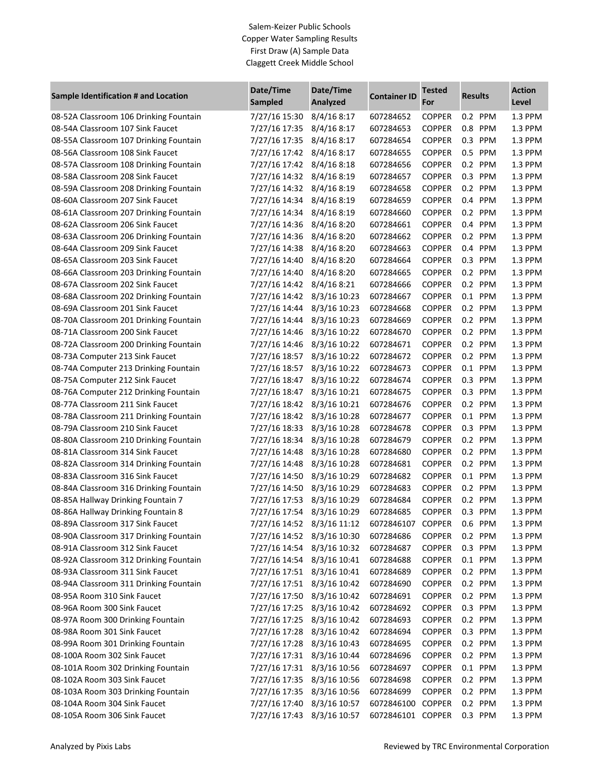| Sample Identification # and Location   | Date/Time<br>Sampled       | Date/Time<br>Analyzed | <b>Container ID</b> | <b>Tested</b><br>For | <b>Results</b> | <b>Action</b><br>Level |
|----------------------------------------|----------------------------|-----------------------|---------------------|----------------------|----------------|------------------------|
| 08-52A Classroom 106 Drinking Fountain | 7/27/16 15:30              | 8/4/168:17            | 607284652           | <b>COPPER</b>        | 0.2 PPM        | 1.3 PPM                |
| 08-54A Classroom 107 Sink Faucet       | 7/27/16 17:35              | 8/4/168:17            | 607284653           | <b>COPPER</b>        | 0.8 PPM        | 1.3 PPM                |
| 08-55A Classroom 107 Drinking Fountain | 7/27/16 17:35              | 8/4/168:17            | 607284654           | <b>COPPER</b>        | 0.3 PPM        | 1.3 PPM                |
| 08-56A Classroom 108 Sink Faucet       | 7/27/16 17:42              | 8/4/168:17            | 607284655           | <b>COPPER</b>        | 0.5 PPM        | 1.3 PPM                |
| 08-57A Classroom 108 Drinking Fountain | 7/27/16 17:42              | 8/4/168:18            | 607284656           | <b>COPPER</b>        | 0.2 PPM        | 1.3 PPM                |
| 08-58A Classroom 208 Sink Faucet       | 7/27/16 14:32              | 8/4/168:19            | 607284657           | <b>COPPER</b>        | 0.3 PPM        | 1.3 PPM                |
| 08-59A Classroom 208 Drinking Fountain | 7/27/16 14:32              | 8/4/168:19            | 607284658           | <b>COPPER</b>        | 0.2 PPM        | 1.3 PPM                |
| 08-60A Classroom 207 Sink Faucet       | 7/27/16 14:34              | 8/4/168:19            | 607284659           | <b>COPPER</b>        | 0.4 PPM        | 1.3 PPM                |
| 08-61A Classroom 207 Drinking Fountain | 7/27/16 14:34              | 8/4/168:19            | 607284660           | <b>COPPER</b>        | 0.2 PPM        | 1.3 PPM                |
| 08-62A Classroom 206 Sink Faucet       | 7/27/16 14:36              | 8/4/168:20            | 607284661           | <b>COPPER</b>        | 0.4 PPM        | 1.3 PPM                |
| 08-63A Classroom 206 Drinking Fountain | 7/27/16 14:36              | 8/4/168:20            | 607284662           | <b>COPPER</b>        | 0.2 PPM        | 1.3 PPM                |
| 08-64A Classroom 209 Sink Faucet       | 7/27/16 14:38              | 8/4/168:20            | 607284663           | <b>COPPER</b>        | 0.4 PPM        | 1.3 PPM                |
| 08-65A Classroom 203 Sink Faucet       | 7/27/16 14:40              | 8/4/168:20            | 607284664           | <b>COPPER</b>        | 0.3 PPM        | 1.3 PPM                |
| 08-66A Classroom 203 Drinking Fountain | 7/27/16 14:40              | 8/4/168:20            | 607284665           | <b>COPPER</b>        | 0.2 PPM        | 1.3 PPM                |
| 08-67A Classroom 202 Sink Faucet       | 7/27/16 14:42              | 8/4/168:21            | 607284666           | <b>COPPER</b>        | 0.2 PPM        | 1.3 PPM                |
| 08-68A Classroom 202 Drinking Fountain | 7/27/16 14:42              | 8/3/16 10:23          | 607284667           | <b>COPPER</b>        | 0.1 PPM        | 1.3 PPM                |
| 08-69A Classroom 201 Sink Faucet       | 7/27/16 14:44              | 8/3/16 10:23          | 607284668           | <b>COPPER</b>        | 0.2 PPM        | 1.3 PPM                |
| 08-70A Classroom 201 Drinking Fountain | 7/27/16 14:44              | 8/3/16 10:23          | 607284669           | <b>COPPER</b>        | 0.2 PPM        | 1.3 PPM                |
| 08-71A Classroom 200 Sink Faucet       | 7/27/16 14:46              | 8/3/16 10:22          | 607284670           | <b>COPPER</b>        | 0.2 PPM        | 1.3 PPM                |
| 08-72A Classroom 200 Drinking Fountain | 7/27/16 14:46              | 8/3/16 10:22          | 607284671           | <b>COPPER</b>        | 0.2 PPM        | 1.3 PPM                |
| 08-73A Computer 213 Sink Faucet        | 7/27/16 18:57              | 8/3/16 10:22          | 607284672           | <b>COPPER</b>        | 0.2 PPM        | 1.3 PPM                |
| 08-74A Computer 213 Drinking Fountain  | 7/27/16 18:57              | 8/3/16 10:22          | 607284673           | <b>COPPER</b>        | 0.1 PPM        | 1.3 PPM                |
| 08-75A Computer 212 Sink Faucet        | 7/27/16 18:47              | 8/3/16 10:22          | 607284674           | <b>COPPER</b>        | 0.3 PPM        | 1.3 PPM                |
| 08-76A Computer 212 Drinking Fountain  | 7/27/16 18:47              | 8/3/16 10:21          | 607284675           | <b>COPPER</b>        | 0.3 PPM        | 1.3 PPM                |
| 08-77A Classroom 211 Sink Faucet       | 7/27/16 18:42              | 8/3/16 10:21          | 607284676           | <b>COPPER</b>        | 0.2 PPM        | 1.3 PPM                |
| 08-78A Classroom 211 Drinking Fountain | 7/27/16 18:42              | 8/3/16 10:28          | 607284677           | <b>COPPER</b>        | 0.1 PPM        | 1.3 PPM                |
| 08-79A Classroom 210 Sink Faucet       | 7/27/16 18:33              | 8/3/16 10:28          | 607284678           | <b>COPPER</b>        | 0.3 PPM        | 1.3 PPM                |
| 08-80A Classroom 210 Drinking Fountain | 7/27/16 18:34              | 8/3/16 10:28          | 607284679           | <b>COPPER</b>        | 0.2 PPM        | 1.3 PPM                |
| 08-81A Classroom 314 Sink Faucet       | 7/27/16 14:48              | 8/3/16 10:28          | 607284680           | <b>COPPER</b>        | 0.2 PPM        | 1.3 PPM                |
| 08-82A Classroom 314 Drinking Fountain | 7/27/16 14:48              | 8/3/16 10:28          | 607284681           | <b>COPPER</b>        | 0.2 PPM        | 1.3 PPM                |
| 08-83A Classroom 316 Sink Faucet       | 7/27/16 14:50              | 8/3/16 10:29          | 607284682           | <b>COPPER</b>        | 0.1 PPM        | 1.3 PPM                |
| 08-84A Classroom 316 Drinking Fountain | 7/27/16 14:50              | 8/3/16 10:29          | 607284683           | <b>COPPER</b>        | 0.2 PPM        | 1.3 PPM                |
| 08-85A Hallway Drinking Fountain 7     | 7/27/16 17:53              | 8/3/16 10:29          | 607284684           | <b>COPPER</b>        | 0.2 PPM        | 1.3 PPM                |
| 08-86A Hallway Drinking Fountain 8     | 7/27/16 17:54              | 8/3/16 10:29          | 607284685           | <b>COPPER</b>        | 0.3 PPM        | 1.3 PPM                |
| 08-89A Classroom 317 Sink Faucet       | 7/27/16 14:52              | 8/3/16 11:12          | 6072846107          | <b>COPPER</b>        | 0.6 PPM        | 1.3 PPM                |
| 08-90A Classroom 317 Drinking Fountain | 7/27/16 14:52              | 8/3/16 10:30          | 607284686           | <b>COPPER</b>        | 0.2 PPM        | 1.3 PPM                |
| 08-91A Classroom 312 Sink Faucet       | 7/27/16 14:54              | 8/3/16 10:32          | 607284687           | <b>COPPER</b>        | 0.3 PPM        | 1.3 PPM                |
| 08-92A Classroom 312 Drinking Fountain | 7/27/16 14:54              | 8/3/16 10:41          | 607284688           | <b>COPPER</b>        | 0.1 PPM        | 1.3 PPM                |
| 08-93A Classroom 311 Sink Faucet       | 7/27/16 17:51              | 8/3/16 10:41          | 607284689           | <b>COPPER</b>        | 0.2 PPM        | 1.3 PPM                |
| 08-94A Classroom 311 Drinking Fountain | 7/27/16 17:51              | 8/3/16 10:42          | 607284690           | <b>COPPER</b>        | 0.2 PPM        | 1.3 PPM                |
| 08-95A Room 310 Sink Faucet            | 7/27/16 17:50              | 8/3/16 10:42          | 607284691           | <b>COPPER</b>        | 0.2 PPM        | 1.3 PPM                |
| 08-96A Room 300 Sink Faucet            | 7/27/16 17:25              | 8/3/16 10:42          | 607284692           | <b>COPPER</b>        | 0.3 PPM        | 1.3 PPM                |
| 08-97A Room 300 Drinking Fountain      | 7/27/16 17:25              | 8/3/16 10:42          | 607284693           | <b>COPPER</b>        | 0.2 PPM        | 1.3 PPM                |
| 08-98A Room 301 Sink Faucet            | 7/27/16 17:28              | 8/3/16 10:42          | 607284694           | <b>COPPER</b>        | 0.3 PPM        | 1.3 PPM                |
| 08-99A Room 301 Drinking Fountain      | 7/27/16 17:28              | 8/3/16 10:43          | 607284695           | <b>COPPER</b>        | 0.2 PPM        | 1.3 PPM                |
| 08-100A Room 302 Sink Faucet           | 7/27/16 17:31              | 8/3/16 10:44          | 607284696           | <b>COPPER</b>        | 0.2 PPM        | 1.3 PPM                |
| 08-101A Room 302 Drinking Fountain     | 7/27/16 17:31              | 8/3/16 10:56          | 607284697           | <b>COPPER</b>        | 0.1 PPM        | 1.3 PPM                |
| 08-102A Room 303 Sink Faucet           | 7/27/16 17:35              | 8/3/16 10:56          | 607284698           | <b>COPPER</b>        | 0.2 PPM        | 1.3 PPM                |
| 08-103A Room 303 Drinking Fountain     | 7/27/16 17:35              | 8/3/16 10:56          | 607284699           | <b>COPPER</b>        | 0.2 PPM        | 1.3 PPM                |
| 08-104A Room 304 Sink Faucet           | 7/27/16 17:40              | 8/3/16 10:57          | 6072846100          | <b>COPPER</b>        | 0.2 PPM        | 1.3 PPM                |
| 08-105A Room 306 Sink Faucet           | 7/27/16 17:43 8/3/16 10:57 |                       | 6072846101 COPPER   |                      | 0.3 PPM        | 1.3 PPM                |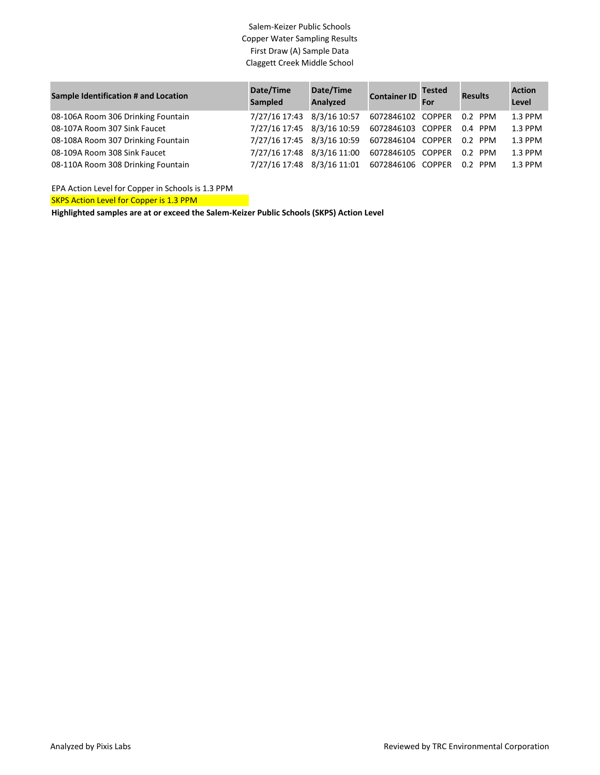| Sample Identification # and Location | Date/Time<br>Sampled       | Date/Time<br>Analyzed | Container ID For  | <b>Tested</b> | <b>Results</b> | <b>Action</b><br>Level |
|--------------------------------------|----------------------------|-----------------------|-------------------|---------------|----------------|------------------------|
| 08-106A Room 306 Drinking Fountain   | 7/27/16 17:43 8/3/16 10:57 |                       | 6072846102 COPPER |               | 0.2 PPM        | 1.3 PPM                |
| 08-107A Room 307 Sink Faucet         | 7/27/16 17:45 8/3/16 10:59 |                       | 6072846103 COPPER |               | $0.4$ PPM      | 1.3 PPM                |
| 08-108A Room 307 Drinking Fountain   | 7/27/16 17:45 8/3/16 10:59 |                       | 6072846104 COPPER |               | 0.2 PPM        | 1.3 PPM                |
| 08-109A Room 308 Sink Faucet         | 7/27/16 17:48 8/3/16 11:00 |                       | 6072846105 COPPER |               | 0.2 PPM        | 1.3 PPM                |
| 08-110A Room 308 Drinking Fountain   | 7/27/16 17:48 8/3/16 11:01 |                       | 6072846106 COPPER |               | 0.2 PPM        | 1.3 PPM                |

SKPS Action Level for Copper is 1.3 PPM EPA Action Level for Copper in Schools is 1.3 PPM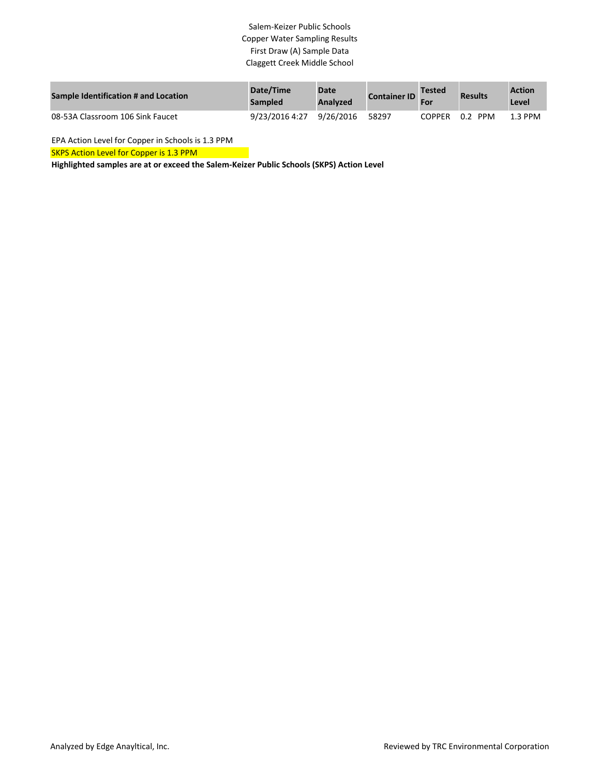| Sample Identification # and Location | Date/Time<br>Sampled | <b>Date</b><br>Analyzed | <b>Container ID</b> | <b>Tested</b><br>For | <b>Results</b>    | <b>Action</b><br>Level |
|--------------------------------------|----------------------|-------------------------|---------------------|----------------------|-------------------|------------------------|
| 08-53A Classroom 106 Sink Faucet     | 9/23/2016 4:27       | 9/26/2016               | 58297               | <b>COPPER</b>        | <b>PPM</b><br>0.2 | $1.3$ PPM              |

EPA Action Level for Copper in Schools is 1.3 PPM

SKPS Action Level for Copper is 1.3 PPM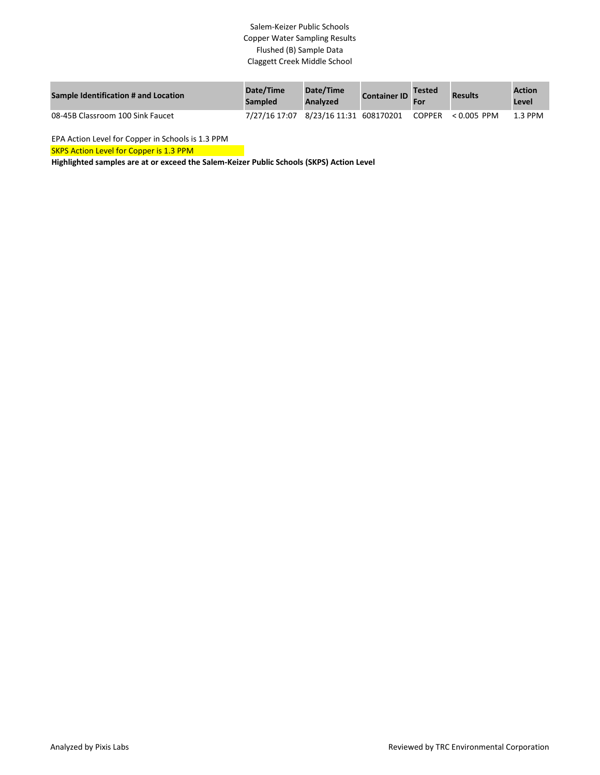| Sample Identification # and Location | Date/Time<br><b>Sampled</b>           | Date/Time<br>Analyzed | <b>Container ID</b> | <b>Tested</b><br>For | <b>Results</b> | <b>Action</b><br>Level |
|--------------------------------------|---------------------------------------|-----------------------|---------------------|----------------------|----------------|------------------------|
| 08-45B Classroom 100 Sink Faucet     | 7/27/16 17:07 8/23/16 11:31 608170201 |                       |                     | COPPER               | $< 0.005$ PPM  | $1.3$ PPM              |

EPA Action Level for Copper in Schools is 1.3 PPM

SKPS Action Level for Copper is 1.3 PPM